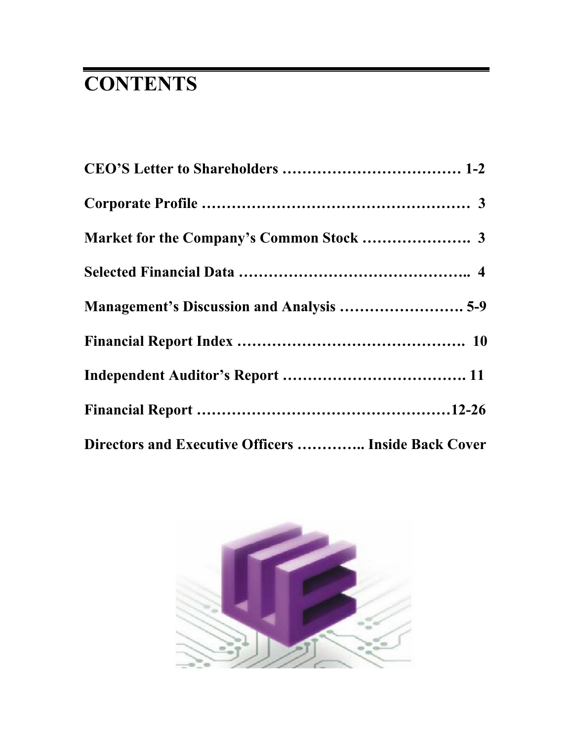# **CONTENTS**

| Directors and Executive Officers  Inside Back Cover |
|-----------------------------------------------------|

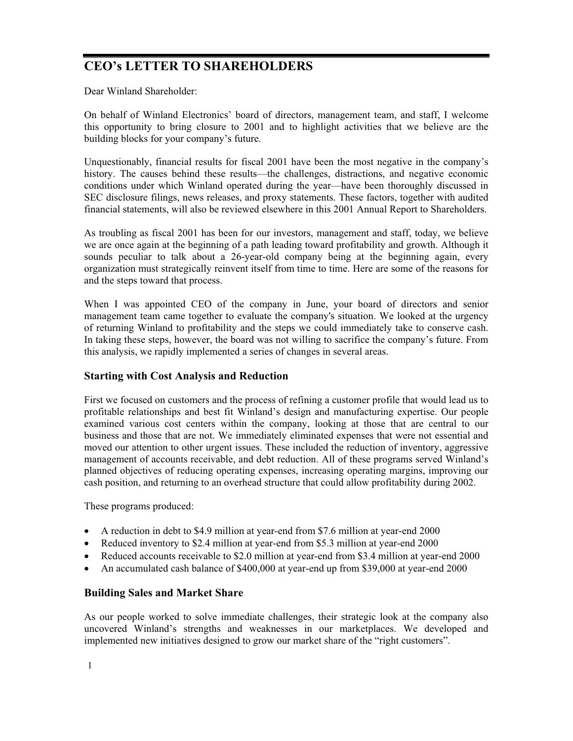## **CEO's LETTER TO SHAREHOLDERS**

Dear Winland Shareholder:

On behalf of Winland Electronics' board of directors, management team, and staff, I welcome this opportunity to bring closure to 2001 and to highlight activities that we believe are the building blocks for your company's future.

Unquestionably, financial results for fiscal 2001 have been the most negative in the company's history. The causes behind these results—the challenges, distractions, and negative economic conditions under which Winland operated during the year—have been thoroughly discussed in SEC disclosure filings, news releases, and proxy statements. These factors, together with audited financial statements, will also be reviewed elsewhere in this 2001 Annual Report to Shareholders.

As troubling as fiscal 2001 has been for our investors, management and staff, today, we believe we are once again at the beginning of a path leading toward profitability and growth. Although it sounds peculiar to talk about a 26-year-old company being at the beginning again, every organization must strategically reinvent itself from time to time. Here are some of the reasons for and the steps toward that process.

When I was appointed CEO of the company in June, your board of directors and senior management team came together to evaluate the company's situation. We looked at the urgency of returning Winland to profitability and the steps we could immediately take to conserve cash. In taking these steps, however, the board was not willing to sacrifice the company's future. From this analysis, we rapidly implemented a series of changes in several areas.

#### **Starting with Cost Analysis and Reduction**

First we focused on customers and the process of refining a customer profile that would lead us to profitable relationships and best fit Winland's design and manufacturing expertise. Our people examined various cost centers within the company, looking at those that are central to our business and those that are not. We immediately eliminated expenses that were not essential and moved our attention to other urgent issues. These included the reduction of inventory, aggressive management of accounts receivable, and debt reduction. All of these programs served Winland's planned objectives of reducing operating expenses, increasing operating margins, improving our cash position, and returning to an overhead structure that could allow profitability during 2002.

These programs produced:

- $\bullet$  A reduction in debt to \$4.9 million at year-end from \$7.6 million at year-end 2000
- Reduced inventory to \$2.4 million at year-end from \$5.3 million at year-end 2000
- Reduced accounts receivable to \$2.0 million at year-end from \$3.4 million at year-end 2000
- An accumulated cash balance of \$400,000 at year-end up from \$39,000 at year-end 2000

#### **Building Sales and Market Share**

As our people worked to solve immediate challenges, their strategic look at the company also uncovered Winland's strengths and weaknesses in our marketplaces. We developed and implemented new initiatives designed to grow our market share of the "right customers".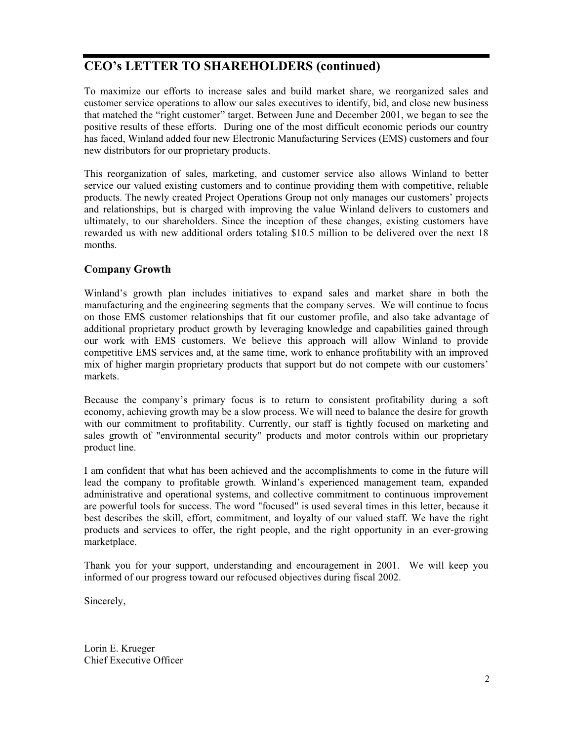## **CEO's LETTER TO SHAREHOLDERS (continued)**

To maximize our efforts to increase sales and build market share, we reorganized sales and customer service operations to allow our sales executives to identify, bid, and close new business that matched the "right customer" target. Between June and December 2001, we began to see the positive results of these efforts. During one of the most difficult economic periods our country has faced, Winland added four new Electronic Manufacturing Services (EMS) customers and four new distributors for our proprietary products.

This reorganization of sales, marketing, and customer service also allows Winland to better service our valued existing customers and to continue providing them with competitive, reliable products. The newly created Project Operations Group not only manages our customers' projects and relationships, but is charged with improving the value Winland delivers to customers and ultimately, to our shareholders. Since the inception of these changes, existing customers have rewarded us with new additional orders totaling \$10.5 million to be delivered over the next 18 months.

#### **Company Growth**

Winland's growth plan includes initiatives to expand sales and market share in both the manufacturing and the engineering segments that the company serves. We will continue to focus on those EMS customer relationships that fit our customer profile, and also take advantage of additional proprietary product growth by leveraging knowledge and capabilities gained through our work with EMS customers. We believe this approach will allow Winland to provide competitive EMS services and, at the same time, work to enhance profitability with an improved mix of higher margin proprietary products that support but do not compete with our customers' markets.

Because the company's primary focus is to return to consistent profitability during a soft economy, achieving growth may be a slow process. We will need to balance the desire for growth with our commitment to profitability. Currently, our staff is tightly focused on marketing and sales growth of "environmental security" products and motor controls within our proprietary product line.

I am confident that what has been achieved and the accomplishments to come in the future will lead the company to profitable growth. Winland's experienced management team, expanded administrative and operational systems, and collective commitment to continuous improvement are powerful tools for success. The word "focused" is used several times in this letter, because it best describes the skill, effort, commitment, and loyalty of our valued staff. We have the right products and services to offer, the right people, and the right opportunity in an ever-growing marketplace.

Thank you for your support, understanding and encouragement in 2001. We will keep you informed of our progress toward our refocused objectives during fiscal 2002.

Sincerely,

Lorin E. Krueger Chief Executive Officer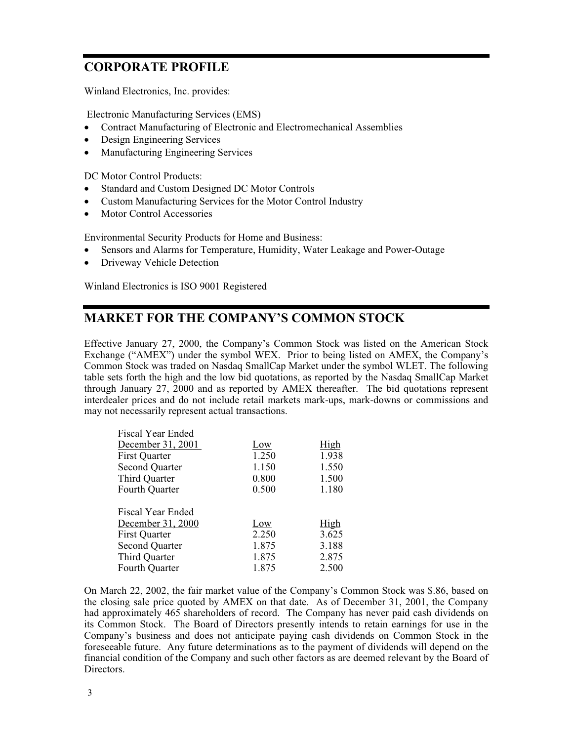## **CORPORATE PROFILE**

Winland Electronics, Inc. provides:

Electronic Manufacturing Services (EMS)

- Contract Manufacturing of Electronic and Electromechanical Assemblies
- Design Engineering Services
- Manufacturing Engineering Services

DC Motor Control Products:

- Standard and Custom Designed DC Motor Controls
- Custom Manufacturing Services for the Motor Control Industry
- Motor Control Accessories

Environmental Security Products for Home and Business:

- Sensors and Alarms for Temperature, Humidity, Water Leakage and Power-Outage
- Driveway Vehicle Detection

Winland Electronics is ISO 9001 Registered

## **MARKET FOR THE COMPANY'S COMMON STOCK**

Effective January 27, 2000, the Company's Common Stock was listed on the American Stock Exchange ("AMEX") under the symbol WEX. Prior to being listed on AMEX, the Company's Common Stock was traded on Nasdaq SmallCap Market under the symbol WLET. The following table sets forth the high and the low bid quotations, as reported by the Nasdaq SmallCap Market through January 27, 2000 and as reported by AMEX thereafter. The bid quotations represent interdealer prices and do not include retail markets mark-ups, mark-downs or commissions and may not necessarily represent actual transactions.

| Fiscal Year Ended     |       |       |
|-----------------------|-------|-------|
| December 31, 2001     | Low   | High  |
| <b>First Quarter</b>  | 1.250 | 1.938 |
| <b>Second Quarter</b> | 1.150 | 1.550 |
| Third Quarter         | 0.800 | 1.500 |
| Fourth Quarter        | 0.500 | 1.180 |
|                       |       |       |
| Fiscal Year Ended     |       |       |
| December 31, 2000     | Low   | High  |
| <b>First Quarter</b>  | 2.250 | 3.625 |
| <b>Second Quarter</b> | 1.875 | 3.188 |
| Third Quarter         | 1.875 | 2.875 |
| Fourth Quarter        | 1.875 | 2.500 |

On March 22, 2002, the fair market value of the Company's Common Stock was \$.86, based on the closing sale price quoted by AMEX on that date. As of December 31, 2001, the Company had approximately 465 shareholders of record. The Company has never paid cash dividends on its Common Stock. The Board of Directors presently intends to retain earnings for use in the Company's business and does not anticipate paying cash dividends on Common Stock in the foreseeable future. Any future determinations as to the payment of dividends will depend on the financial condition of the Company and such other factors as are deemed relevant by the Board of Directors.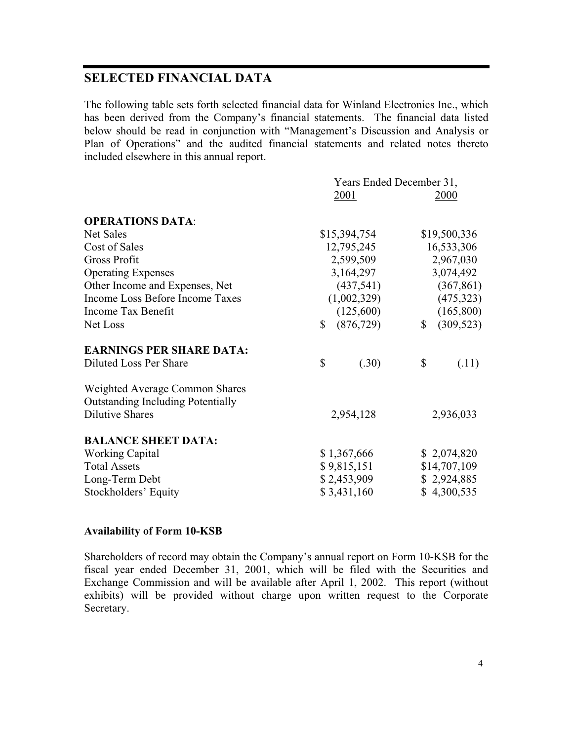## **SELECTED FINANCIAL DATA**

The following table sets forth selected financial data for Winland Electronics Inc., which has been derived from the Company's financial statements. The financial data listed below should be read in conjunction with "Management's Discussion and Analysis or Plan of Operations" and the audited financial statements and related notes thereto included elsewhere in this annual report.

|                                                                            | Years Ended December 31, |             |              |              |
|----------------------------------------------------------------------------|--------------------------|-------------|--------------|--------------|
|                                                                            | 2001                     |             |              | 2000         |
| <b>OPERATIONS DATA:</b>                                                    |                          |             |              |              |
| Net Sales                                                                  | \$15,394,754             |             |              | \$19,500,336 |
| Cost of Sales                                                              |                          | 12,795,245  |              | 16,533,306   |
| <b>Gross Profit</b>                                                        |                          | 2,599,509   |              | 2,967,030    |
| <b>Operating Expenses</b>                                                  |                          | 3,164,297   |              | 3,074,492    |
| Other Income and Expenses, Net                                             |                          | (437,541)   |              | (367, 861)   |
| Income Loss Before Income Taxes                                            |                          | (1,002,329) |              | (475, 323)   |
| Income Tax Benefit                                                         |                          | (125,600)   |              | (165,800)    |
| Net Loss                                                                   | $\mathbb{S}$             | (876, 729)  | $\mathbb{S}$ | (309, 523)   |
| <b>EARNINGS PER SHARE DATA:</b>                                            |                          |             |              |              |
| Diluted Loss Per Share                                                     | \$                       | (.30)       | $\mathbb{S}$ | (.11)        |
| Weighted Average Common Shares<br><b>Outstanding Including Potentially</b> |                          |             |              |              |
| <b>Dilutive Shares</b>                                                     |                          | 2,954,128   |              | 2,936,033    |
| <b>BALANCE SHEET DATA:</b>                                                 |                          |             |              |              |
| <b>Working Capital</b>                                                     | \$1,367,666              |             |              | \$2,074,820  |
| <b>Total Assets</b>                                                        | \$9,815,151              |             |              | \$14,707,109 |
| Long-Term Debt                                                             | \$2,453,909              |             |              | \$2,924,885  |
| Stockholders' Equity                                                       | \$3,431,160              |             |              | \$4,300,535  |

#### **Availability of Form 10-KSB**

Shareholders of record may obtain the Company's annual report on Form 10-KSB for the fiscal year ended December 31, 2001, which will be filed with the Securities and Exchange Commission and will be available after April 1, 2002. This report (without exhibits) will be provided without charge upon written request to the Corporate Secretary.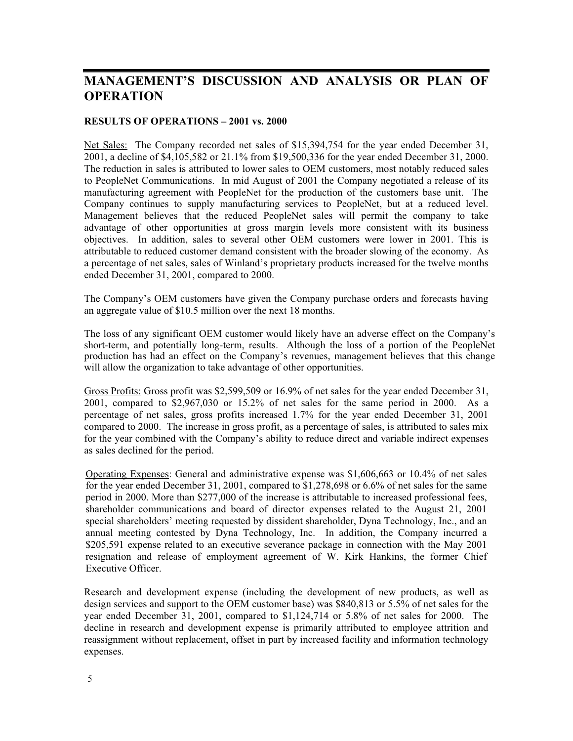#### **RESULTS OF OPERATIONS – 2001 vs. 2000**

Net Sales: The Company recorded net sales of \$15,394,754 for the year ended December 31, 2001, a decline of \$4,105,582 or 21.1% from \$19,500,336 for the year ended December 31, 2000. The reduction in sales is attributed to lower sales to OEM customers, most notably reduced sales to PeopleNet Communications. In mid August of 2001 the Company negotiated a release of its manufacturing agreement with PeopleNet for the production of the customers base unit. The Company continues to supply manufacturing services to PeopleNet, but at a reduced level. Management believes that the reduced PeopleNet sales will permit the company to take advantage of other opportunities at gross margin levels more consistent with its business objectives. In addition, sales to several other OEM customers were lower in 2001. This is attributable to reduced customer demand consistent with the broader slowing of the economy. As a percentage of net sales, sales of Winland's proprietary products increased for the twelve months ended December 31, 2001, compared to 2000.

The Company's OEM customers have given the Company purchase orders and forecasts having an aggregate value of \$10.5 million over the next 18 months.

The loss of any significant OEM customer would likely have an adverse effect on the Company's short-term, and potentially long-term, results. Although the loss of a portion of the PeopleNet production has had an effect on the Company's revenues, management believes that this change will allow the organization to take advantage of other opportunities.

Gross Profits: Gross profit was \$2,599,509 or 16.9% of net sales for the year ended December 31, 2001, compared to \$2,967,030 or 15.2% of net sales for the same period in 2000. As a percentage of net sales, gross profits increased 1.7% for the year ended December 31, 2001 compared to 2000. The increase in gross profit, as a percentage of sales, is attributed to sales mix for the year combined with the Company's ability to reduce direct and variable indirect expenses as sales declined for the period.

Operating Expenses: General and administrative expense was \$1,606,663 or 10.4% of net sales for the year ended December 31, 2001, compared to \$1,278,698 or 6.6% of net sales for the same period in 2000. More than \$277,000 of the increase is attributable to increased professional fees, shareholder communications and board of director expenses related to the August 21, 2001 special shareholders' meeting requested by dissident shareholder, Dyna Technology, Inc., and an annual meeting contested by Dyna Technology, Inc. In addition, the Company incurred a \$205,591 expense related to an executive severance package in connection with the May 2001 resignation and release of employment agreement of W. Kirk Hankins, the former Chief Executive Officer.

Research and development expense (including the development of new products, as well as design services and support to the OEM customer base) was \$840,813 or 5.5% of net sales for the year ended December 31, 2001, compared to \$1,124,714 or 5.8% of net sales for 2000. The decline in research and development expense is primarily attributed to employee attrition and reassignment without replacement, offset in part by increased facility and information technology expenses.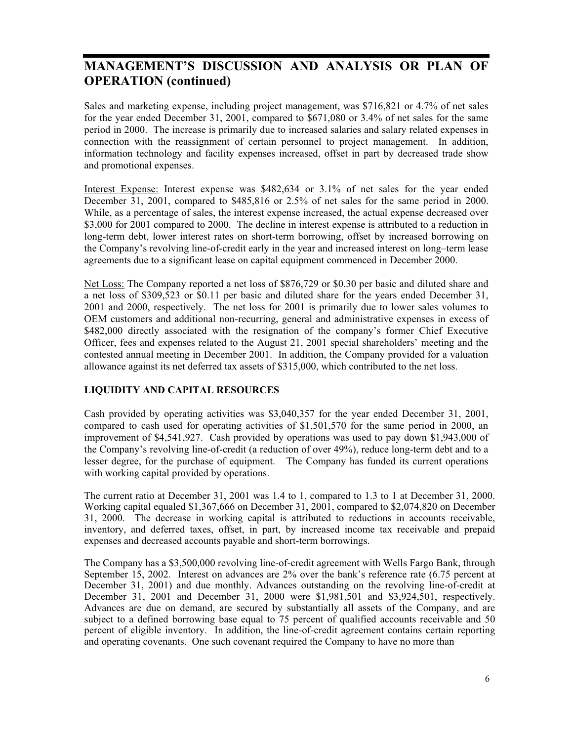Sales and marketing expense, including project management, was \$716,821 or 4.7% of net sales for the year ended December 31, 2001, compared to \$671,080 or 3.4% of net sales for the same period in 2000. The increase is primarily due to increased salaries and salary related expenses in connection with the reassignment of certain personnel to project management. In addition, information technology and facility expenses increased, offset in part by decreased trade show and promotional expenses.

Interest Expense: Interest expense was \$482,634 or 3.1% of net sales for the year ended December 31, 2001, compared to \$485,816 or 2.5% of net sales for the same period in 2000. While, as a percentage of sales, the interest expense increased, the actual expense decreased over \$3,000 for 2001 compared to 2000. The decline in interest expense is attributed to a reduction in long-term debt, lower interest rates on short-term borrowing, offset by increased borrowing on the Company's revolving line-of-credit early in the year and increased interest on long–term lease agreements due to a significant lease on capital equipment commenced in December 2000.

Net Loss: The Company reported a net loss of \$876,729 or \$0.30 per basic and diluted share and a net loss of \$309,523 or \$0.11 per basic and diluted share for the years ended December 31, 2001 and 2000, respectively. The net loss for 2001 is primarily due to lower sales volumes to OEM customers and additional non-recurring, general and administrative expenses in excess of \$482,000 directly associated with the resignation of the company's former Chief Executive Officer, fees and expenses related to the August 21, 2001 special shareholders' meeting and the contested annual meeting in December 2001. In addition, the Company provided for a valuation allowance against its net deferred tax assets of \$315,000, which contributed to the net loss.

#### **LIQUIDITY AND CAPITAL RESOURCES**

Cash provided by operating activities was \$3,040,357 for the year ended December 31, 2001, compared to cash used for operating activities of \$1,501,570 for the same period in 2000, an improvement of \$4,541,927. Cash provided by operations was used to pay down \$1,943,000 of the Company's revolving line-of-credit (a reduction of over 49%), reduce long-term debt and to a lesser degree, for the purchase of equipment. The Company has funded its current operations with working capital provided by operations.

The current ratio at December 31, 2001 was 1.4 to 1, compared to 1.3 to 1 at December 31, 2000. Working capital equaled \$1,367,666 on December 31, 2001, compared to \$2,074,820 on December 31, 2000. The decrease in working capital is attributed to reductions in accounts receivable, inventory, and deferred taxes, offset, in part, by increased income tax receivable and prepaid expenses and decreased accounts payable and short-term borrowings.

The Company has a \$3,500,000 revolving line-of-credit agreement with Wells Fargo Bank, through September 15, 2002. Interest on advances are 2% over the bank's reference rate (6.75 percent at December 31, 2001) and due monthly. Advances outstanding on the revolving line-of-credit at December 31, 2001 and December 31, 2000 were \$1,981,501 and \$3,924,501, respectively. Advances are due on demand, are secured by substantially all assets of the Company, and are subject to a defined borrowing base equal to 75 percent of qualified accounts receivable and 50 percent of eligible inventory. In addition, the line-of-credit agreement contains certain reporting and operating covenants. One such covenant required the Company to have no more than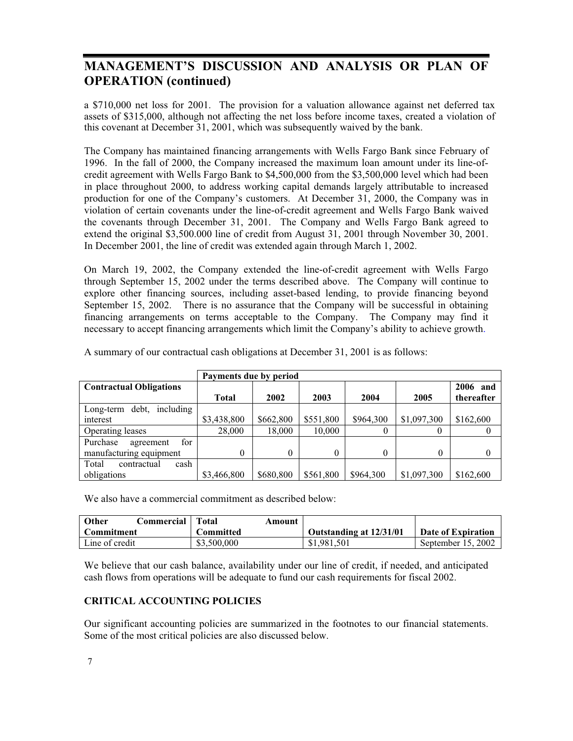a \$710,000 net loss for 2001. The provision for a valuation allowance against net deferred tax assets of \$315,000, although not affecting the net loss before income taxes, created a violation of this covenant at December 31, 2001, which was subsequently waived by the bank.

The Company has maintained financing arrangements with Wells Fargo Bank since February of 1996. In the fall of 2000, the Company increased the maximum loan amount under its line-ofcredit agreement with Wells Fargo Bank to \$4,500,000 from the \$3,500,000 level which had been in place throughout 2000, to address working capital demands largely attributable to increased production for one of the Company's customers. At December 31, 2000, the Company was in violation of certain covenants under the line-of-credit agreement and Wells Fargo Bank waived the covenants through December 31, 2001. The Company and Wells Fargo Bank agreed to extend the original \$3,500.000 line of credit from August 31, 2001 through November 30, 2001. In December 2001, the line of credit was extended again through March 1, 2002.

On March 19, 2002, the Company extended the line-of-credit agreement with Wells Fargo through September 15, 2002 under the terms described above. The Company will continue to explore other financing sources, including asset-based lending, to provide financing beyond September 15, 2002. There is no assurance that the Company will be successful in obtaining financing arrangements on terms acceptable to the Company. The Company may find it necessary to accept financing arrangements which limit the Company's ability to achieve growth.

|                                 | Payments due by period |           |           |           |             |             |
|---------------------------------|------------------------|-----------|-----------|-----------|-------------|-------------|
| <b>Contractual Obligations</b>  |                        |           |           |           |             | 2006<br>and |
|                                 | <b>Total</b>           | 2002      | 2003      | 2004      | 2005        | thereafter  |
| including<br>debt,<br>Long-term |                        |           |           |           |             |             |
| interest                        | \$3,438,800            | \$662,800 | \$551,800 | \$964,300 | \$1,097,300 | \$162,600   |
| Operating leases                | 28,000                 | 18,000    | 10,000    | 0         | 0           |             |
| for<br>Purchase<br>agreement    |                        |           |           |           |             |             |
| manufacturing equipment         | 0                      | $\theta$  | 0         | $\theta$  | $\theta$    | $\theta$    |
| cash<br>Total<br>contractual    |                        |           |           |           |             |             |
| obligations                     | \$3,466,800            | \$680,800 | \$561,800 | \$964,300 | \$1,097,300 | \$162,600   |

A summary of our contractual cash obligations at December 31, 2001 is as follows:

We also have a commercial commitment as described below:

| <b>Other</b><br>Commercial | Total<br>Amount |                         |                    |
|----------------------------|-----------------|-------------------------|--------------------|
| <b>Commitment</b>          | Committed       | Outstanding at 12/31/01 | Date of Expiration |
| Line of credit             | \$3,500,000     | \$1,981,501             | September 15, 2002 |

We believe that our cash balance, availability under our line of credit, if needed, and anticipated cash flows from operations will be adequate to fund our cash requirements for fiscal 2002.

#### **CRITICAL ACCOUNTING POLICIES**

Our significant accounting policies are summarized in the footnotes to our financial statements. Some of the most critical policies are also discussed below.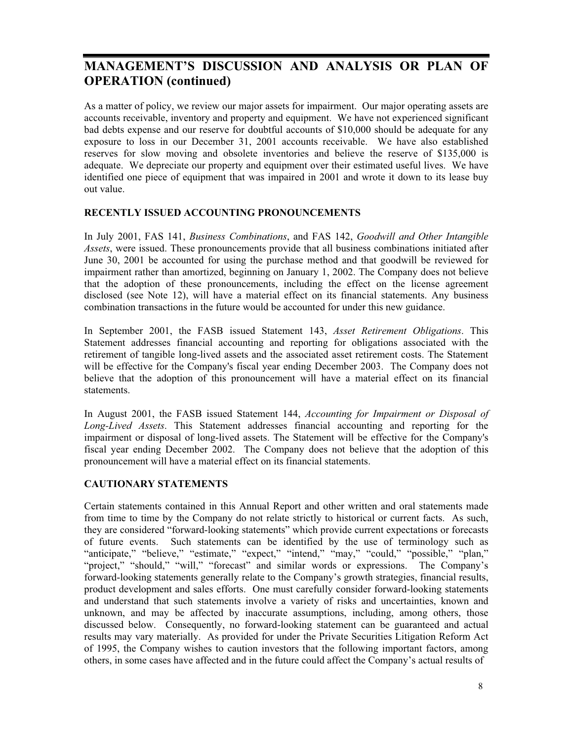As a matter of policy, we review our major assets for impairment. Our major operating assets are accounts receivable, inventory and property and equipment. We have not experienced significant bad debts expense and our reserve for doubtful accounts of \$10,000 should be adequate for any exposure to loss in our December 31, 2001 accounts receivable. We have also established reserves for slow moving and obsolete inventories and believe the reserve of \$135,000 is adequate. We depreciate our property and equipment over their estimated useful lives. We have identified one piece of equipment that was impaired in 2001 and wrote it down to its lease buy out value.

#### **RECENTLY ISSUED ACCOUNTING PRONOUNCEMENTS**

In July 2001, FAS 141, *Business Combinations*, and FAS 142, *Goodwill and Other Intangible Assets*, were issued. These pronouncements provide that all business combinations initiated after June 30, 2001 be accounted for using the purchase method and that goodwill be reviewed for impairment rather than amortized, beginning on January 1, 2002. The Company does not believe that the adoption of these pronouncements, including the effect on the license agreement disclosed (see Note 12), will have a material effect on its financial statements. Any business combination transactions in the future would be accounted for under this new guidance.

In September 2001, the FASB issued Statement 143, *Asset Retirement Obligations*. This Statement addresses financial accounting and reporting for obligations associated with the retirement of tangible long-lived assets and the associated asset retirement costs. The Statement will be effective for the Company's fiscal year ending December 2003. The Company does not believe that the adoption of this pronouncement will have a material effect on its financial statements.

In August 2001, the FASB issued Statement 144, *Accounting for Impairment or Disposal of Long-Lived Assets*. This Statement addresses financial accounting and reporting for the impairment or disposal of long-lived assets. The Statement will be effective for the Company's fiscal year ending December 2002. The Company does not believe that the adoption of this pronouncement will have a material effect on its financial statements.

#### **CAUTIONARY STATEMENTS**

Certain statements contained in this Annual Report and other written and oral statements made from time to time by the Company do not relate strictly to historical or current facts. As such, they are considered "forward-looking statements" which provide current expectations or forecasts of future events. Such statements can be identified by the use of terminology such as "anticipate," "believe," "estimate," "expect," "intend," "may," "could," "possible," "plan," "project," "should," "will," "forecast" and similar words or expressions. The Company's forward-looking statements generally relate to the Company's growth strategies, financial results, product development and sales efforts. One must carefully consider forward-looking statements and understand that such statements involve a variety of risks and uncertainties, known and unknown, and may be affected by inaccurate assumptions, including, among others, those discussed below. Consequently, no forward-looking statement can be guaranteed and actual results may vary materially. As provided for under the Private Securities Litigation Reform Act of 1995, the Company wishes to caution investors that the following important factors, among others, in some cases have affected and in the future could affect the Company's actual results of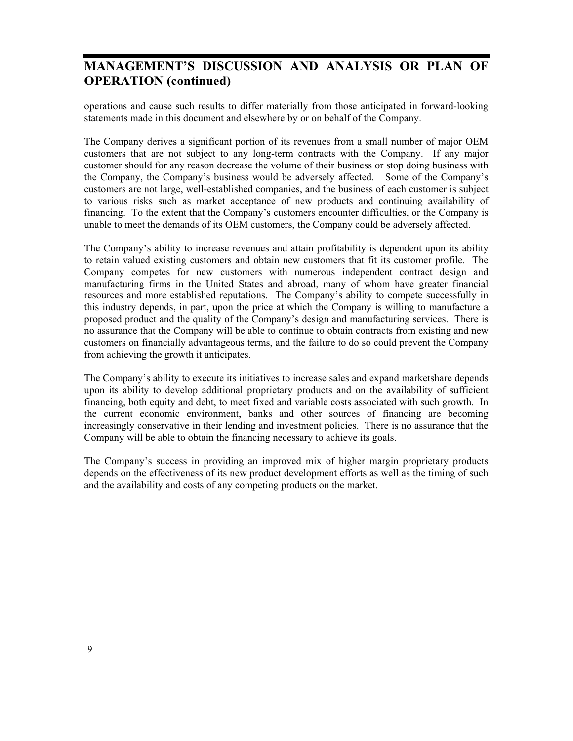operations and cause such results to differ materially from those anticipated in forward-looking statements made in this document and elsewhere by or on behalf of the Company.

The Company derives a significant portion of its revenues from a small number of major OEM customers that are not subject to any long-term contracts with the Company. If any major customer should for any reason decrease the volume of their business or stop doing business with the Company, the Company's business would be adversely affected. Some of the Company's customers are not large, well-established companies, and the business of each customer is subject to various risks such as market acceptance of new products and continuing availability of financing. To the extent that the Company's customers encounter difficulties, or the Company is unable to meet the demands of its OEM customers, the Company could be adversely affected.

The Company's ability to increase revenues and attain profitability is dependent upon its ability to retain valued existing customers and obtain new customers that fit its customer profile. The Company competes for new customers with numerous independent contract design and manufacturing firms in the United States and abroad, many of whom have greater financial resources and more established reputations. The Company's ability to compete successfully in this industry depends, in part, upon the price at which the Company is willing to manufacture a proposed product and the quality of the Company's design and manufacturing services. There is no assurance that the Company will be able to continue to obtain contracts from existing and new customers on financially advantageous terms, and the failure to do so could prevent the Company from achieving the growth it anticipates.

The Company's ability to execute its initiatives to increase sales and expand marketshare depends upon its ability to develop additional proprietary products and on the availability of sufficient financing, both equity and debt, to meet fixed and variable costs associated with such growth. In the current economic environment, banks and other sources of financing are becoming increasingly conservative in their lending and investment policies. There is no assurance that the Company will be able to obtain the financing necessary to achieve its goals.

The Company's success in providing an improved mix of higher margin proprietary products depends on the effectiveness of its new product development efforts as well as the timing of such and the availability and costs of any competing products on the market.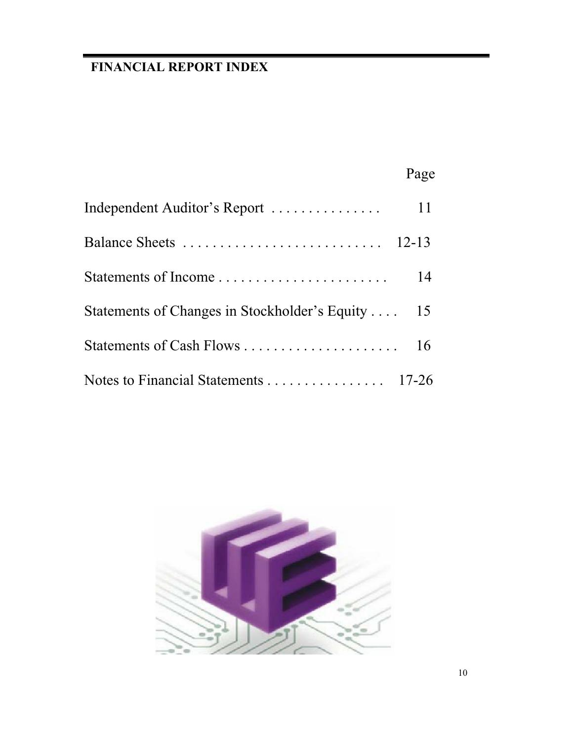## **FINANCIAL REPORT INDEX**

|                                               | Page      |
|-----------------------------------------------|-----------|
| Independent Auditor's Report                  | 11        |
| Balance Sheets                                | $12 - 13$ |
|                                               | 14        |
| Statements of Changes in Stockholder's Equity | 15        |
|                                               | 16        |
|                                               |           |

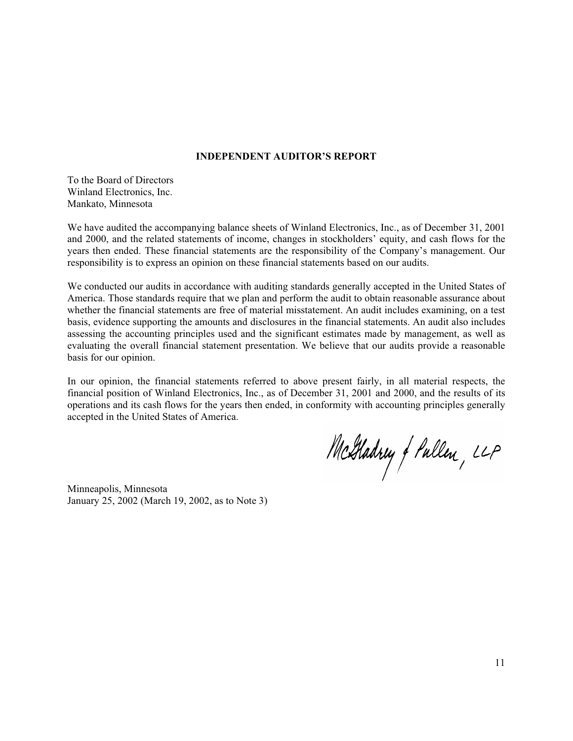#### **INDEPENDENT AUDITOR'S REPORT**

To the Board of Directors Winland Electronics, Inc. Mankato, Minnesota

We have audited the accompanying balance sheets of Winland Electronics, Inc., as of December 31, 2001 and 2000, and the related statements of income, changes in stockholders' equity, and cash flows for the years then ended. These financial statements are the responsibility of the Company's management. Our responsibility is to express an opinion on these financial statements based on our audits.

We conducted our audits in accordance with auditing standards generally accepted in the United States of America. Those standards require that we plan and perform the audit to obtain reasonable assurance about whether the financial statements are free of material misstatement. An audit includes examining, on a test basis, evidence supporting the amounts and disclosures in the financial statements. An audit also includes assessing the accounting principles used and the significant estimates made by management, as well as evaluating the overall financial statement presentation. We believe that our audits provide a reasonable basis for our opinion.

In our opinion, the financial statements referred to above present fairly, in all material respects, the financial position of Winland Electronics, Inc., as of December 31, 2001 and 2000, and the results of its operations and its cash flows for the years then ended, in conformity with accounting principles generally accepted in the United States of America.

McGladrey of Pullen, LLP

Minneapolis, Minnesota January 25, 2002 (March 19, 2002, as to Note 3)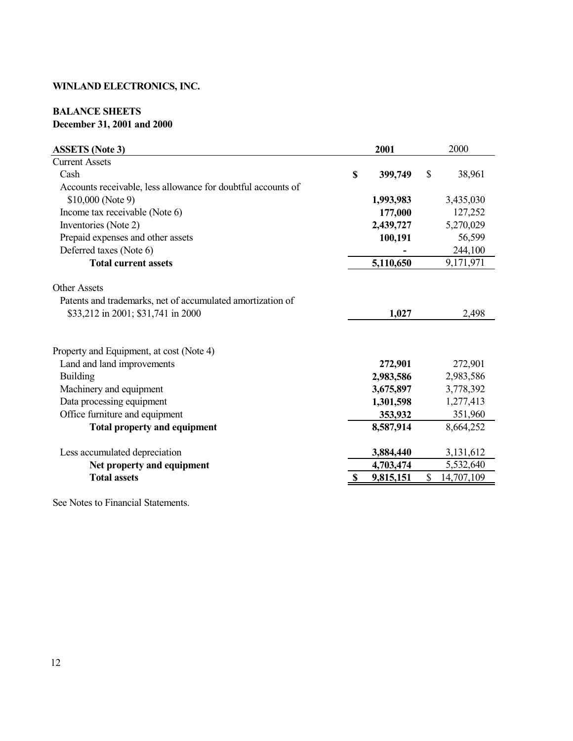#### **BALANCE SHEETS December 31, 2001 and 2000**

| <b>ASSETS</b> (Note 3)                                       |             | 2001      | 2000             |
|--------------------------------------------------------------|-------------|-----------|------------------|
| <b>Current Assets</b>                                        |             |           |                  |
| Cash                                                         | $\mathbf S$ | 399,749   | \$<br>38,961     |
| Accounts receivable, less allowance for doubtful accounts of |             |           |                  |
| \$10,000 (Note 9)                                            |             | 1,993,983 | 3,435,030        |
| Income tax receivable (Note 6)                               |             | 177,000   | 127,252          |
| Inventories (Note 2)                                         |             | 2,439,727 | 5,270,029        |
| Prepaid expenses and other assets                            |             | 100,191   | 56,599           |
| Deferred taxes (Note 6)                                      |             |           | 244,100          |
| <b>Total current assets</b>                                  |             | 5,110,650 | 9,171,971        |
| Other Assets                                                 |             |           |                  |
| Patents and trademarks, net of accumulated amortization of   |             |           |                  |
| \$33,212 in 2001; \$31,741 in 2000                           |             | 1,027     | 2,498            |
|                                                              |             |           |                  |
| Property and Equipment, at cost (Note 4)                     |             |           |                  |
| Land and land improvements                                   |             | 272,901   | 272,901          |
| Building                                                     |             | 2,983,586 | 2,983,586        |
| Machinery and equipment                                      |             | 3,675,897 | 3,778,392        |
| Data processing equipment                                    |             | 1,301,598 | 1,277,413        |
| Office furniture and equipment                               |             | 353,932   | 351,960          |
| <b>Total property and equipment</b>                          |             | 8,587,914 | 8,664,252        |
| Less accumulated depreciation                                |             | 3,884,440 | 3,131,612        |
| Net property and equipment                                   |             | 4,703,474 | 5,532,640        |
| <b>Total assets</b>                                          |             | 9,815,151 | \$<br>14,707,109 |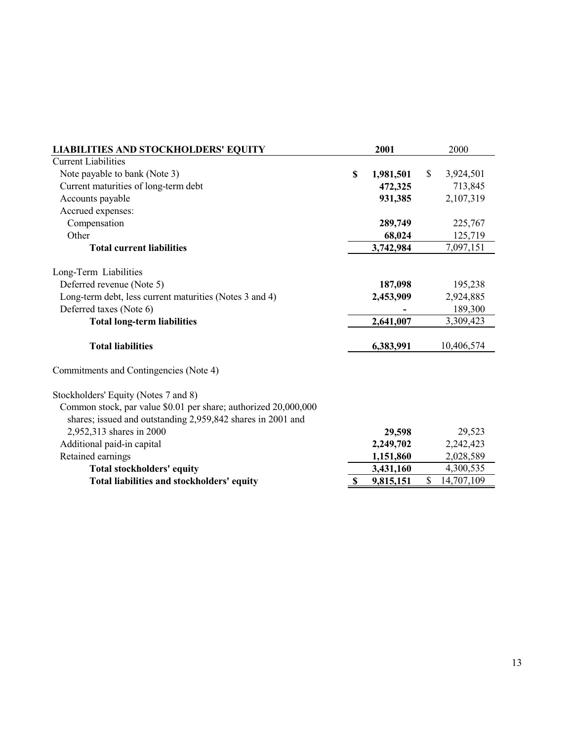| <b>LIABILITIES AND STOCKHOLDERS' EQUITY</b>                                                                                    | 2001            |              | 2000       |
|--------------------------------------------------------------------------------------------------------------------------------|-----------------|--------------|------------|
| <b>Current Liabilities</b>                                                                                                     |                 |              |            |
| Note payable to bank (Note 3)                                                                                                  | \$<br>1,981,501 | $\mathbb{S}$ | 3,924,501  |
| Current maturities of long-term debt                                                                                           | 472,325         |              | 713,845    |
| Accounts payable                                                                                                               | 931,385         |              | 2,107,319  |
| Accrued expenses:                                                                                                              |                 |              |            |
| Compensation                                                                                                                   | 289,749         |              | 225,767    |
| Other                                                                                                                          | 68,024          |              | 125,719    |
| <b>Total current liabilities</b>                                                                                               | 3,742,984       |              | 7,097,151  |
| Long-Term Liabilities                                                                                                          |                 |              |            |
| Deferred revenue (Note 5)                                                                                                      | 187,098         |              | 195,238    |
| Long-term debt, less current maturities (Notes 3 and 4)                                                                        | 2,453,909       |              | 2,924,885  |
| Deferred taxes (Note 6)                                                                                                        |                 |              | 189,300    |
| <b>Total long-term liabilities</b>                                                                                             | 2,641,007       |              | 3,309,423  |
| <b>Total liabilities</b>                                                                                                       | 6,383,991       |              | 10,406,574 |
| Commitments and Contingencies (Note 4)                                                                                         |                 |              |            |
| Stockholders' Equity (Notes 7 and 8)                                                                                           |                 |              |            |
| Common stock, par value \$0.01 per share; authorized 20,000,000<br>shares; issued and outstanding 2,959,842 shares in 2001 and |                 |              |            |
| 2,952,313 shares in 2000                                                                                                       | 29,598          |              | 29,523     |
| Additional paid-in capital                                                                                                     | 2,249,702       |              | 2,242,423  |
| Retained earnings                                                                                                              | 1,151,860       |              | 2,028,589  |
| <b>Total stockholders' equity</b>                                                                                              | 3,431,160       |              | 4,300,535  |
| Total liabilities and stockholders' equity                                                                                     | \$<br>9,815,151 | \$           | 14,707,109 |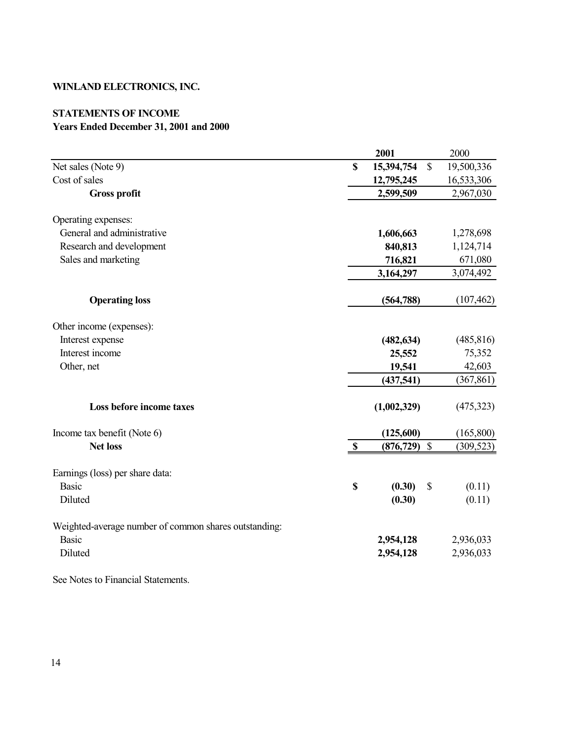#### **STATEMENTS OF INCOME Years Ended December 31, 2001 and 2000**

|                                                       |                           | 2001        |               | 2000       |
|-------------------------------------------------------|---------------------------|-------------|---------------|------------|
| Net sales (Note 9)                                    | $\mathbf S$               | 15,394,754  | $\mathbb{S}$  | 19,500,336 |
| Cost of sales                                         |                           | 12,795,245  |               | 16,533,306 |
| <b>Gross profit</b>                                   |                           | 2,599,509   |               | 2,967,030  |
| Operating expenses:                                   |                           |             |               |            |
| General and administrative                            |                           | 1,606,663   |               | 1,278,698  |
| Research and development                              |                           | 840,813     |               | 1,124,714  |
| Sales and marketing                                   |                           | 716,821     |               | 671,080    |
|                                                       |                           | 3,164,297   |               | 3,074,492  |
| <b>Operating loss</b>                                 |                           | (564, 788)  |               | (107, 462) |
| Other income (expenses):                              |                           |             |               |            |
| Interest expense                                      |                           | (482, 634)  |               | (485, 816) |
| Interest income                                       |                           | 25,552      |               | 75,352     |
| Other, net                                            |                           | 19,541      |               | 42,603     |
|                                                       |                           | (437,541)   |               | (367, 861) |
| Loss before income taxes                              |                           | (1,002,329) |               | (475, 323) |
| Income tax benefit (Note 6)                           |                           | (125,600)   |               | (165, 800) |
| <b>Net loss</b>                                       | $\mathbf{\$}$             | (876, 729)  | $\mathcal{S}$ | (309, 523) |
| Earnings (loss) per share data:                       |                           |             |               |            |
| <b>Basic</b>                                          | $\boldsymbol{\mathsf{S}}$ | (0.30)      | \$            | (0.11)     |
| Diluted                                               |                           | (0.30)      |               | (0.11)     |
| Weighted-average number of common shares outstanding: |                           |             |               |            |
| <b>Basic</b>                                          |                           | 2,954,128   |               | 2,936,033  |
| Diluted                                               |                           | 2,954,128   |               | 2,936,033  |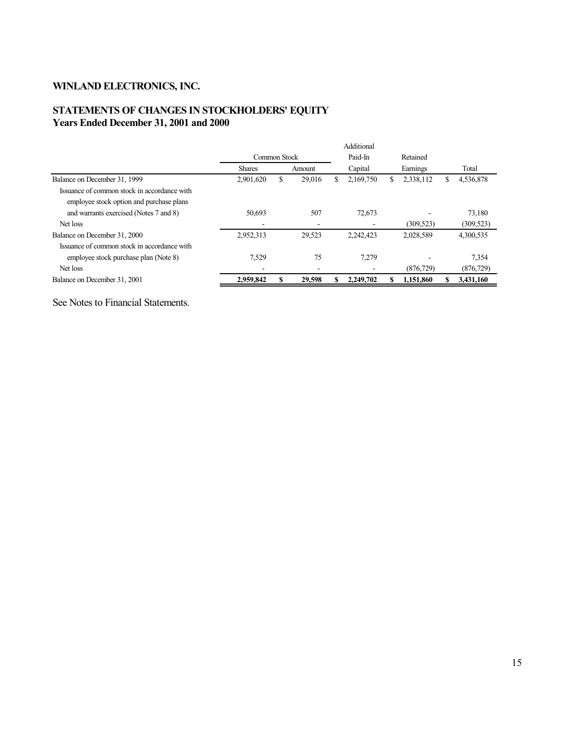#### **STATEMENTS OF CHANGES IN STOCKHOLDERS' EQUITY Years Ended December 31, 2001 and 2000**

|                                                                                         | Additional              |    |        |    |           |   |            |   |            |
|-----------------------------------------------------------------------------------------|-------------------------|----|--------|----|-----------|---|------------|---|------------|
|                                                                                         | Paid-In<br>Common Stock |    |        |    | Retained  |   |            |   |            |
|                                                                                         | <b>Shares</b>           |    | Amount |    | Capital   |   | Earnings   |   | Total      |
| Balance on December 31, 1999                                                            | 2,901,620               | \$ | 29,016 | S. | 2,169,750 | S | 2,338,112  | S | 4,536,878  |
| Issuance of common stock in accordance with<br>employee stock option and purchase plans |                         |    |        |    |           |   |            |   |            |
| and warrants exercised (Notes 7 and 8)                                                  | 50,693                  |    | 507    |    | 72,673    |   |            |   | 73,180     |
| Net loss                                                                                | -                       |    |        |    |           |   | (309, 523) |   | (309, 523) |
| Balance on December 31, 2000                                                            | 2,952,313               |    | 29,523 |    | 2,242,423 |   | 2,028,589  |   | 4,300,535  |
| Issuance of common stock in accordance with                                             |                         |    |        |    |           |   |            |   |            |
| employee stock purchase plan (Note 8)                                                   | 7.529                   |    | 75     |    | 7,279     |   |            |   | 7.354      |
| Net loss                                                                                |                         |    |        |    |           |   | (876, 729) |   | (876, 729) |
| Balance on December 31, 2001                                                            | 2,959,842               |    | 29,598 |    | 2,249,702 |   | 1,151,860  |   | 3,431,160  |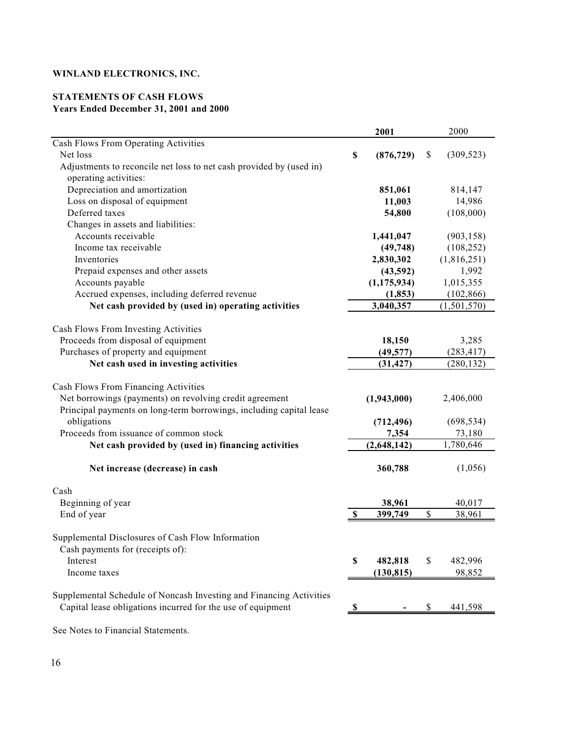#### **STATEMENTS OF CASH FLOWS Years Ended December 31, 2001 and 2000**

|                                                                                                                                                                        |             | 2001          |             | 2000        |
|------------------------------------------------------------------------------------------------------------------------------------------------------------------------|-------------|---------------|-------------|-------------|
| Cash Flows From Operating Activities                                                                                                                                   |             |               |             |             |
| Net loss                                                                                                                                                               | $\mathbb S$ | (876, 729)    | $\$$        | (309, 523)  |
| Adjustments to reconcile net loss to net cash provided by (used in)<br>operating activities:                                                                           |             |               |             |             |
| Depreciation and amortization                                                                                                                                          |             | 851,061       |             | 814,147     |
| Loss on disposal of equipment                                                                                                                                          |             | 11,003        |             | 14,986      |
| Deferred taxes                                                                                                                                                         |             | 54,800        |             | (108,000)   |
| Changes in assets and liabilities:                                                                                                                                     |             |               |             |             |
| Accounts receivable                                                                                                                                                    |             | 1,441,047     |             | (903, 158)  |
| Income tax receivable                                                                                                                                                  |             | (49, 748)     |             | (108, 252)  |
| Inventories                                                                                                                                                            |             | 2,830,302     |             | (1,816,251) |
| Prepaid expenses and other assets                                                                                                                                      |             | (43,592)      |             | 1,992       |
| Accounts payable                                                                                                                                                       |             | (1, 175, 934) |             | 1,015,355   |
| Accrued expenses, including deferred revenue                                                                                                                           |             | (1, 853)      |             | (102, 866)  |
| Net cash provided by (used in) operating activities                                                                                                                    |             | 3,040,357     |             | (1,501,570) |
|                                                                                                                                                                        |             |               |             |             |
| Cash Flows From Investing Activities                                                                                                                                   |             |               |             |             |
| Proceeds from disposal of equipment                                                                                                                                    |             | 18,150        |             | 3,285       |
| Purchases of property and equipment                                                                                                                                    |             | (49, 577)     |             | (283, 417)  |
| Net cash used in investing activities                                                                                                                                  |             | (31, 427)     |             | (280, 132)  |
| Cash Flows From Financing Activities<br>Net borrowings (payments) on revolving credit agreement<br>Principal payments on long-term borrowings, including capital lease |             | (1,943,000)   |             | 2,406,000   |
| obligations                                                                                                                                                            |             | (712, 496)    |             | (698, 534)  |
| Proceeds from issuance of common stock                                                                                                                                 |             | 7,354         |             | 73,180      |
| Net cash provided by (used in) financing activities                                                                                                                    |             | (2,648,142)   |             | 1,780,646   |
|                                                                                                                                                                        |             |               |             |             |
| Net increase (decrease) in cash                                                                                                                                        |             | 360,788       |             | (1,056)     |
| Cash                                                                                                                                                                   |             |               |             |             |
| Beginning of year                                                                                                                                                      |             | 38,961        |             | 40,017      |
| End of year                                                                                                                                                            | \$          | 399,749       | \$          | 38,961      |
| Supplemental Disclosures of Cash Flow Information<br>Cash payments for (receipts of):                                                                                  |             |               |             |             |
| Interest                                                                                                                                                               | \$          | 482,818       | $\mathbb S$ | 482,996     |
| Income taxes                                                                                                                                                           |             | (130, 815)    |             | 98,852      |
|                                                                                                                                                                        |             |               |             |             |
| Supplemental Schedule of Noncash Investing and Financing Activities<br>Capital lease obligations incurred for the use of equipment                                     | \$          |               | \$          | 441,598     |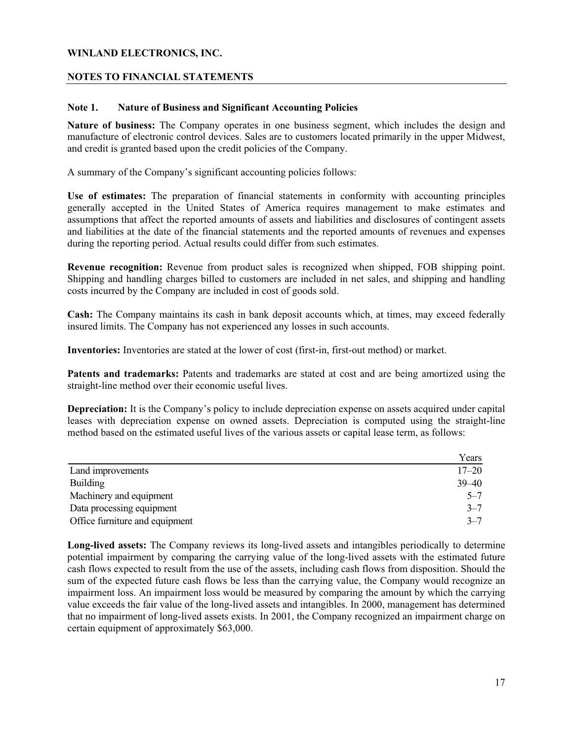#### **NOTES TO FINANCIAL STATEMENTS**

#### **Note 1. Nature of Business and Significant Accounting Policies**

**Nature of business:** The Company operates in one business segment, which includes the design and manufacture of electronic control devices. Sales are to customers located primarily in the upper Midwest, and credit is granted based upon the credit policies of the Company.

A summary of the Company's significant accounting policies follows:

**Use of estimates:** The preparation of financial statements in conformity with accounting principles generally accepted in the United States of America requires management to make estimates and assumptions that affect the reported amounts of assets and liabilities and disclosures of contingent assets and liabilities at the date of the financial statements and the reported amounts of revenues and expenses during the reporting period. Actual results could differ from such estimates.

**Revenue recognition:** Revenue from product sales is recognized when shipped, FOB shipping point. Shipping and handling charges billed to customers are included in net sales, and shipping and handling costs incurred by the Company are included in cost of goods sold.

**Cash:** The Company maintains its cash in bank deposit accounts which, at times, may exceed federally insured limits. The Company has not experienced any losses in such accounts.

**Inventories:** Inventories are stated at the lower of cost (first-in, first-out method) or market.

**Patents and trademarks:** Patents and trademarks are stated at cost and are being amortized using the straight-line method over their economic useful lives.

**Depreciation:** It is the Company's policy to include depreciation expense on assets acquired under capital leases with depreciation expense on owned assets. Depreciation is computed using the straight-line method based on the estimated useful lives of the various assets or capital lease term, as follows:

|                                | Years     |
|--------------------------------|-----------|
| Land improvements              | $17 - 20$ |
| <b>Building</b>                | $39 - 40$ |
| Machinery and equipment        | $5 - 7$   |
| Data processing equipment      | $3 - 7$   |
| Office furniture and equipment | $3 - 7$   |

**Long-lived assets:** The Company reviews its long-lived assets and intangibles periodically to determine potential impairment by comparing the carrying value of the long-lived assets with the estimated future cash flows expected to result from the use of the assets, including cash flows from disposition. Should the sum of the expected future cash flows be less than the carrying value, the Company would recognize an impairment loss. An impairment loss would be measured by comparing the amount by which the carrying value exceeds the fair value of the long-lived assets and intangibles. In 2000, management has determined that no impairment of long-lived assets exists. In 2001, the Company recognized an impairment charge on certain equipment of approximately \$63,000.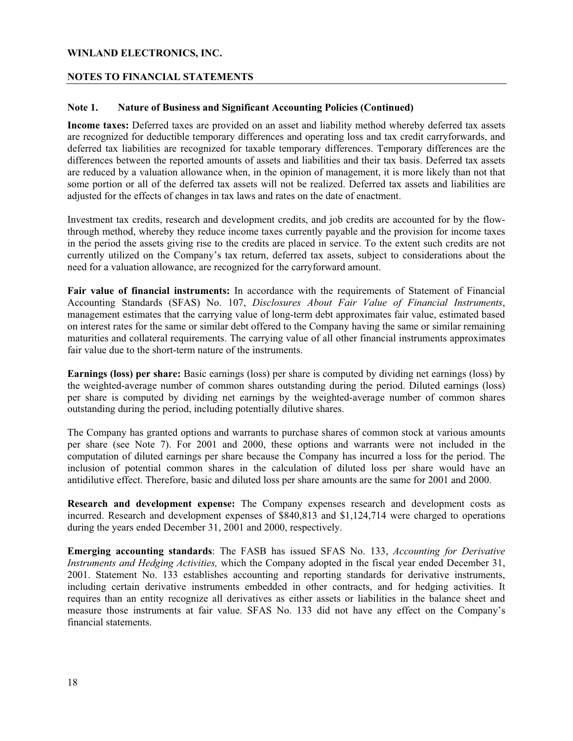#### **NOTES TO FINANCIAL STATEMENTS**

#### **Note 1. Nature of Business and Significant Accounting Policies (Continued)**

**Income taxes:** Deferred taxes are provided on an asset and liability method whereby deferred tax assets are recognized for deductible temporary differences and operating loss and tax credit carryforwards, and deferred tax liabilities are recognized for taxable temporary differences. Temporary differences are the differences between the reported amounts of assets and liabilities and their tax basis. Deferred tax assets are reduced by a valuation allowance when, in the opinion of management, it is more likely than not that some portion or all of the deferred tax assets will not be realized. Deferred tax assets and liabilities are adjusted for the effects of changes in tax laws and rates on the date of enactment.

Investment tax credits, research and development credits, and job credits are accounted for by the flowthrough method, whereby they reduce income taxes currently payable and the provision for income taxes in the period the assets giving rise to the credits are placed in service. To the extent such credits are not currently utilized on the Company's tax return, deferred tax assets, subject to considerations about the need for a valuation allowance, are recognized for the carryforward amount.

**Fair value of financial instruments:** In accordance with the requirements of Statement of Financial Accounting Standards (SFAS) No. 107, *Disclosures About Fair Value of Financial Instruments*, management estimates that the carrying value of long-term debt approximates fair value, estimated based on interest rates for the same or similar debt offered to the Company having the same or similar remaining maturities and collateral requirements. The carrying value of all other financial instruments approximates fair value due to the short-term nature of the instruments.

**Earnings (loss) per share:** Basic earnings (loss) per share is computed by dividing net earnings (loss) by the weighted-average number of common shares outstanding during the period. Diluted earnings (loss) per share is computed by dividing net earnings by the weighted-average number of common shares outstanding during the period, including potentially dilutive shares.

The Company has granted options and warrants to purchase shares of common stock at various amounts per share (see Note 7). For 2001 and 2000, these options and warrants were not included in the computation of diluted earnings per share because the Company has incurred a loss for the period. The inclusion of potential common shares in the calculation of diluted loss per share would have an antidilutive effect. Therefore, basic and diluted loss per share amounts are the same for 2001 and 2000.

**Research and development expense:** The Company expenses research and development costs as incurred. Research and development expenses of \$840,813 and \$1,124,714 were charged to operations during the years ended December 31, 2001 and 2000, respectively.

**Emerging accounting standards**: The FASB has issued SFAS No. 133, *Accounting for Derivative Instruments and Hedging Activities,* which the Company adopted in the fiscal year ended December 31, 2001. Statement No. 133 establishes accounting and reporting standards for derivative instruments, including certain derivative instruments embedded in other contracts, and for hedging activities. It requires than an entity recognize all derivatives as either assets or liabilities in the balance sheet and measure those instruments at fair value. SFAS No. 133 did not have any effect on the Company's financial statements.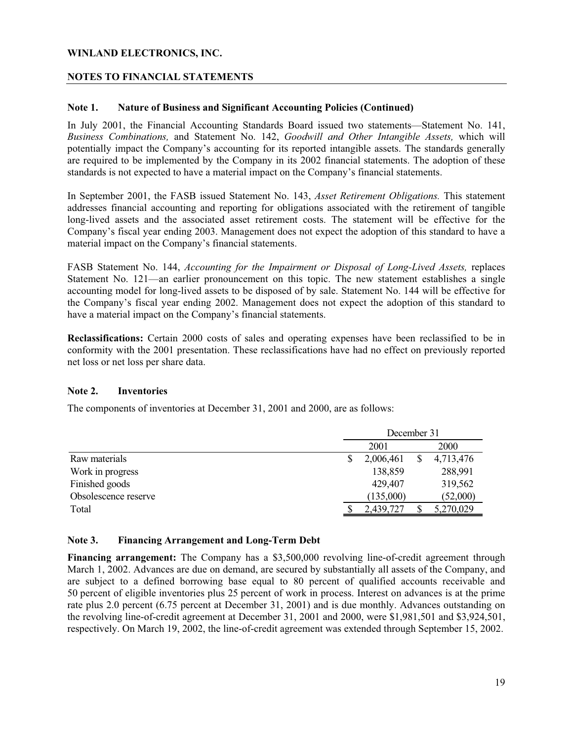#### **NOTES TO FINANCIAL STATEMENTS**

#### **Note 1. Nature of Business and Significant Accounting Policies (Continued)**

In July 2001, the Financial Accounting Standards Board issued two statements—Statement No. 141, *Business Combinations,* and Statement No. 142, *Goodwill and Other Intangible Assets,* which will potentially impact the Company's accounting for its reported intangible assets. The standards generally are required to be implemented by the Company in its 2002 financial statements. The adoption of these standards is not expected to have a material impact on the Company's financial statements.

In September 2001, the FASB issued Statement No. 143, *Asset Retirement Obligations.* This statement addresses financial accounting and reporting for obligations associated with the retirement of tangible long-lived assets and the associated asset retirement costs. The statement will be effective for the Company's fiscal year ending 2003. Management does not expect the adoption of this standard to have a material impact on the Company's financial statements.

FASB Statement No. 144, *Accounting for the Impairment or Disposal of Long-Lived Assets*, replaces Statement No. 121—an earlier pronouncement on this topic. The new statement establishes a single accounting model for long-lived assets to be disposed of by sale. Statement No. 144 will be effective for the Company's fiscal year ending 2002. Management does not expect the adoption of this standard to have a material impact on the Company's financial statements.

**Reclassifications:** Certain 2000 costs of sales and operating expenses have been reclassified to be in conformity with the 2001 presentation. These reclassifications have had no effect on previously reported net loss or net loss per share data.

#### **Note 2. Inventories**

The components of inventories at December 31, 2001 and 2000, are as follows:

|                      | December 31 |           |  |           |
|----------------------|-------------|-----------|--|-----------|
|                      |             | 2001      |  | 2000      |
| Raw materials        |             | 2,006,461 |  | 4,713,476 |
| Work in progress     |             | 138,859   |  | 288,991   |
| Finished goods       |             | 429,407   |  | 319,562   |
| Obsolescence reserve |             | (135,000) |  | (52,000)  |
| Total                |             | 2,439,727 |  | 5,270,029 |

#### **Note 3. Financing Arrangement and Long-Term Debt**

**Financing arrangement:** The Company has a \$3,500,000 revolving line-of-credit agreement through March 1, 2002. Advances are due on demand, are secured by substantially all assets of the Company, and are subject to a defined borrowing base equal to 80 percent of qualified accounts receivable and 50 percent of eligible inventories plus 25 percent of work in process. Interest on advances is at the prime rate plus 2.0 percent (6.75 percent at December 31, 2001) and is due monthly. Advances outstanding on the revolving line-of-credit agreement at December 31, 2001 and 2000, were \$1,981,501 and \$3,924,501, respectively. On March 19, 2002, the line-of-credit agreement was extended through September 15, 2002.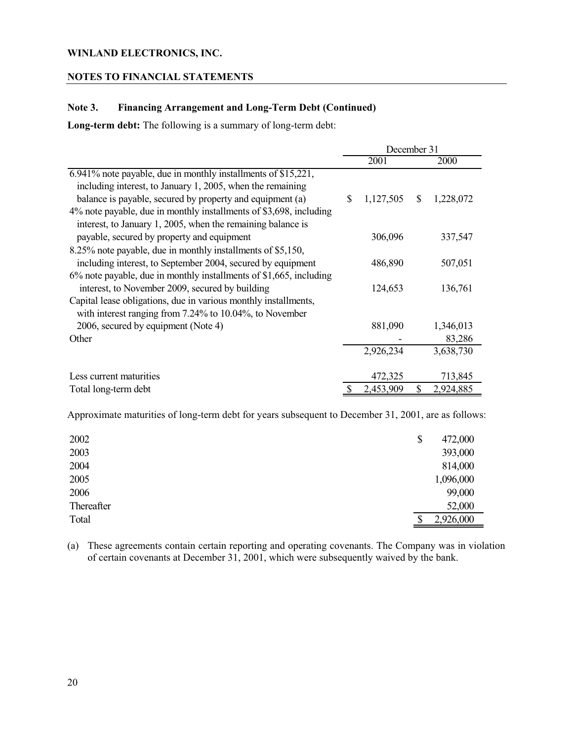#### **NOTES TO FINANCIAL STATEMENTS**

#### **Note 3. Financing Arrangement and Long-Term Debt (Continued)**

**Long-term debt:** The following is a summary of long-term debt:

|                                                                       | December 31 |           |    |           |
|-----------------------------------------------------------------------|-------------|-----------|----|-----------|
|                                                                       |             | 2001      |    | 2000      |
| 6.941% note payable, due in monthly installments of \$15,221,         |             |           |    |           |
| including interest, to January 1, 2005, when the remaining            |             |           |    |           |
| balance is payable, secured by property and equipment (a)             | S           | 1,127,505 | \$ | 1,228,072 |
| 4% note payable, due in monthly installments of \$3,698, including    |             |           |    |           |
| interest, to January 1, 2005, when the remaining balance is           |             |           |    |           |
| payable, secured by property and equipment                            |             | 306,096   |    | 337,547   |
| 8.25% note payable, due in monthly installments of \$5,150,           |             |           |    |           |
| including interest, to September 2004, secured by equipment           |             | 486,890   |    | 507,051   |
| $6\%$ note payable, due in monthly installments of \$1,665, including |             |           |    |           |
| interest, to November 2009, secured by building                       |             | 124,653   |    | 136,761   |
| Capital lease obligations, due in various monthly installments,       |             |           |    |           |
| with interest ranging from $7.24\%$ to $10.04\%$ , to November        |             |           |    |           |
| 2006, secured by equipment (Note 4)                                   |             | 881,090   |    | 1,346,013 |
| Other                                                                 |             |           |    | 83,286    |
|                                                                       |             | 2,926,234 |    | 3,638,730 |
|                                                                       |             |           |    |           |
| Less current maturities                                               |             | 472,325   |    | 713,845   |
| Total long-term debt                                                  |             | 2,453,909 | \$ | 2,924,885 |

Approximate maturities of long-term debt for years subsequent to December 31, 2001, are as follows:

| 2002<br>\$ | 472,000   |
|------------|-----------|
| 2003       | 393,000   |
| 2004       | 814,000   |
| 2005       | 1,096,000 |
| 2006       | 99,000    |
| Thereafter | 52,000    |
| Total      | 2,926,000 |

(a) These agreements contain certain reporting and operating covenants. The Company was in violation of certain covenants at December 31, 2001, which were subsequently waived by the bank.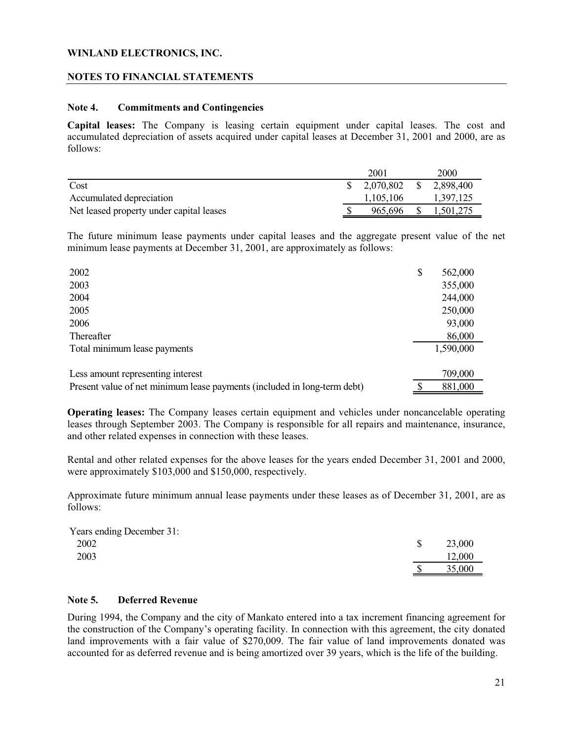#### **NOTES TO FINANCIAL STATEMENTS**

#### **Note 4. Commitments and Contingencies**

**Capital leases:** The Company is leasing certain equipment under capital leases. The cost and accumulated depreciation of assets acquired under capital leases at December 31, 2001 and 2000, are as follows:

|                                          | 2001                   | 2000      |
|------------------------------------------|------------------------|-----------|
| Cost                                     | 2.070.802 \$ 2.898.400 |           |
| Accumulated depreciation                 | 1.105.106              | 1.397.125 |
| Net leased property under capital leases | 965.696                | 1.501.275 |

The future minimum lease payments under capital leases and the aggregate present value of the net minimum lease payments at December 31, 2001, are approximately as follows:

| 2002                                                                     | \$<br>562,000 |
|--------------------------------------------------------------------------|---------------|
| 2003                                                                     | 355,000       |
| 2004                                                                     | 244,000       |
| 2005                                                                     | 250,000       |
| 2006                                                                     | 93,000        |
| Thereafter                                                               | 86,000        |
| Total minimum lease payments                                             | 1,590,000     |
| Less amount representing interest                                        | 709,000       |
| Present value of net minimum lease payments (included in long-term debt) | 881,000       |

**Operating leases:** The Company leases certain equipment and vehicles under noncancelable operating leases through September 2003. The Company is responsible for all repairs and maintenance, insurance, and other related expenses in connection with these leases.

Rental and other related expenses for the above leases for the years ended December 31, 2001 and 2000, were approximately \$103,000 and \$150,000, respectively.

Approximate future minimum annual lease payments under these leases as of December 31, 2001, are as follows:

| Years ending December 31: |        |
|---------------------------|--------|
| 2002                      | 23,000 |
| 2003                      | 12,000 |
|                           | 35,000 |

#### **Note 5. Deferred Revenue**

During 1994, the Company and the city of Mankato entered into a tax increment financing agreement for the construction of the Company's operating facility. In connection with this agreement, the city donated land improvements with a fair value of \$270,009. The fair value of land improvements donated was accounted for as deferred revenue and is being amortized over 39 years, which is the life of the building.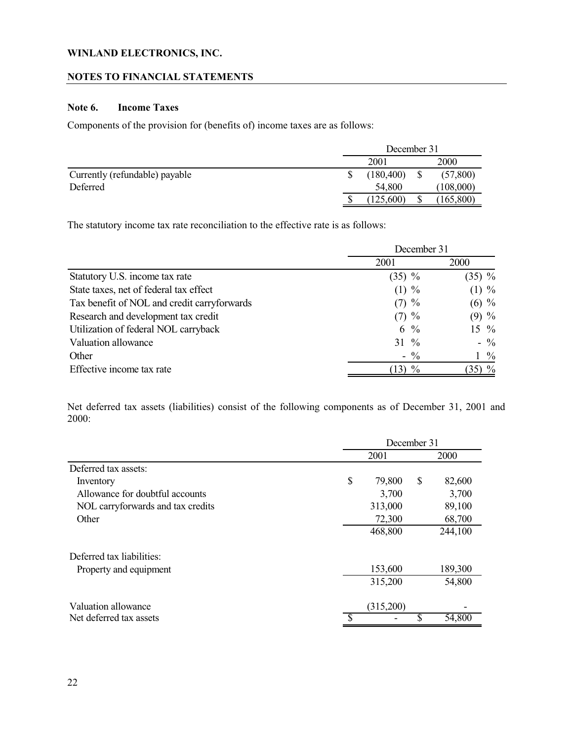#### **NOTES TO FINANCIAL STATEMENTS**

#### **Note 6. Income Taxes**

Components of the provision for (benefits of) income taxes are as follows:

|                                | December 31 |            |  |            |
|--------------------------------|-------------|------------|--|------------|
|                                |             | 200        |  | 2000       |
| Currently (refundable) payable |             | (180, 400) |  | (57, 800)  |
| Deferred                       |             | 54,800     |  | (108,000)  |
|                                |             | (125,600)  |  | (165, 800) |

The statutory income tax rate reconciliation to the effective rate is as follows:

|                                             | December 31     |                     |  |  |
|---------------------------------------------|-----------------|---------------------|--|--|
|                                             | 2001            | 2000                |  |  |
| Statutory U.S. income tax rate              | $(35) \%$       | $(35) \%$           |  |  |
| State taxes, net of federal tax effect      | $(1) \%$        | $(1) \%$            |  |  |
| Tax benefit of NOL and credit carryforwards | $(7)$ %         | $(6)$ %             |  |  |
| Research and development tax credit         | $(7)$ %         | $(9)$ %             |  |  |
| Utilization of federal NOL carryback        | 6 $\frac{6}{9}$ | $15 \frac{9}{6}$    |  |  |
| Valuation allowance                         | $31 \%$         | $-$ %               |  |  |
| Other                                       | $-$ %           | $1\frac{9}{6}$      |  |  |
| Effective income tax rate                   | $\%$<br>13)     | $\frac{0}{0}$<br>35 |  |  |

Net deferred tax assets (liabilities) consist of the following components as of December 31, 2001 and 2000:

|                                   | December 31  |    |         |  |
|-----------------------------------|--------------|----|---------|--|
|                                   | 2001         |    | 2000    |  |
| Deferred tax assets:              |              |    |         |  |
| Inventory                         | \$<br>79,800 | \$ | 82,600  |  |
| Allowance for doubtful accounts   | 3,700        |    | 3,700   |  |
| NOL carryforwards and tax credits | 313,000      |    | 89,100  |  |
| Other                             | 72,300       |    | 68,700  |  |
|                                   | 468,800      |    | 244,100 |  |
| Deferred tax liabilities:         |              |    |         |  |
| Property and equipment            | 153,600      |    | 189,300 |  |
|                                   | 315,200      |    | 54,800  |  |
| Valuation allowance               | (315,200)    |    |         |  |
| Net deferred tax assets           |              |    | 54,800  |  |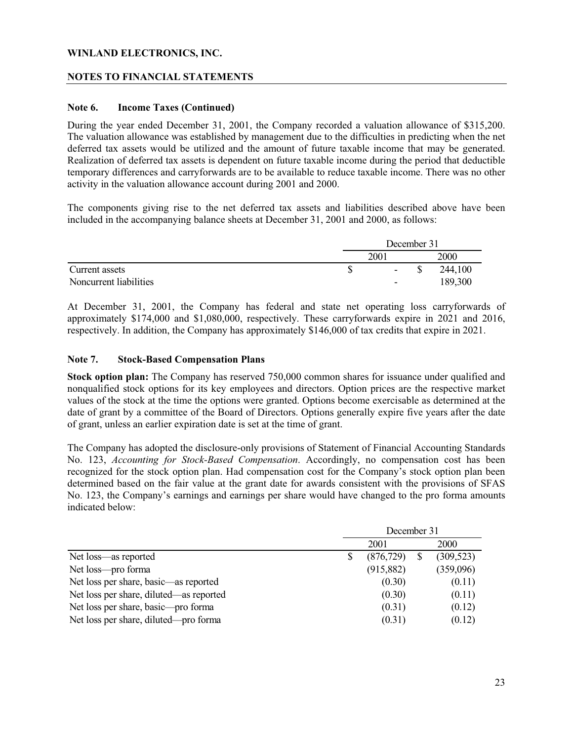#### **NOTES TO FINANCIAL STATEMENTS**

#### **Note 6. Income Taxes (Continued)**

During the year ended December 31, 2001, the Company recorded a valuation allowance of \$315,200. The valuation allowance was established by management due to the difficulties in predicting when the net deferred tax assets would be utilized and the amount of future taxable income that may be generated. Realization of deferred tax assets is dependent on future taxable income during the period that deductible temporary differences and carryforwards are to be available to reduce taxable income. There was no other activity in the valuation allowance account during 2001 and 2000.

The components giving rise to the net deferred tax assets and liabilities described above have been included in the accompanying balance sheets at December 31, 2001 and 2000, as follows:

|                        | December 31              |  |             |  |
|------------------------|--------------------------|--|-------------|--|
|                        | 2001                     |  | <b>2000</b> |  |
| Current assets         | $\sim$                   |  | 244,100     |  |
| Noncurrent liabilities | $\overline{\phantom{0}}$ |  | 189,300     |  |

At December 31, 2001, the Company has federal and state net operating loss carryforwards of approximately \$174,000 and \$1,080,000, respectively. These carryforwards expire in 2021 and 2016, respectively. In addition, the Company has approximately \$146,000 of tax credits that expire in 2021.

#### **Note 7. Stock-Based Compensation Plans**

**Stock option plan:** The Company has reserved 750,000 common shares for issuance under qualified and nonqualified stock options for its key employees and directors. Option prices are the respective market values of the stock at the time the options were granted. Options become exercisable as determined at the date of grant by a committee of the Board of Directors. Options generally expire five years after the date of grant, unless an earlier expiration date is set at the time of grant.

The Company has adopted the disclosure-only provisions of Statement of Financial Accounting Standards No. 123, *Accounting for Stock-Based Compensation*. Accordingly, no compensation cost has been recognized for the stock option plan. Had compensation cost for the Company's stock option plan been determined based on the fair value at the grant date for awards consistent with the provisions of SFAS No. 123, the Company's earnings and earnings per share would have changed to the pro forma amounts indicated below:

|                                         | December 31 |            |  |            |
|-----------------------------------------|-------------|------------|--|------------|
|                                         |             | 2001       |  | 2000       |
| Net loss—as reported                    |             | (876, 729) |  | (309, 523) |
| Net loss—pro forma                      |             | (915, 882) |  | (359,096)  |
| Net loss per share, basic—as reported   |             | (0.30)     |  | (0.11)     |
| Net loss per share, diluted—as reported |             | (0.30)     |  | (0.11)     |
| Net loss per share, basic—pro forma     |             | (0.31)     |  | (0.12)     |
| Net loss per share, diluted—pro forma   |             | (0.31)     |  | (0.12)     |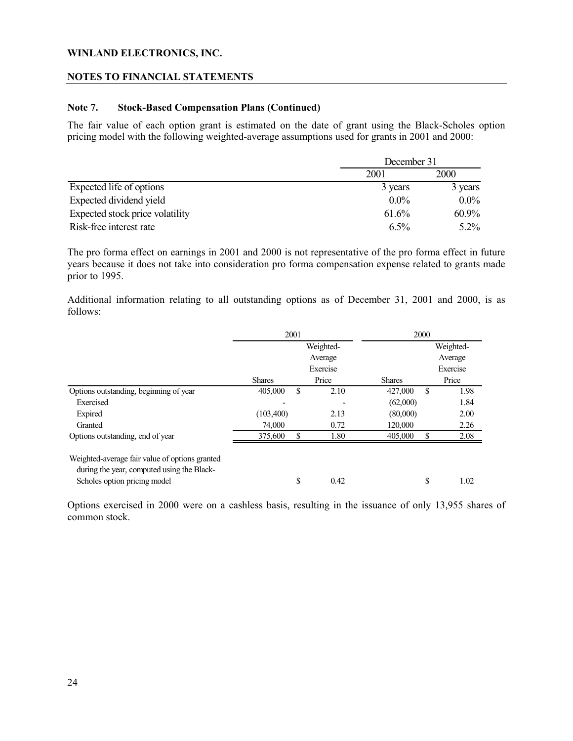#### **NOTES TO FINANCIAL STATEMENTS**

#### **Note 7. Stock-Based Compensation Plans (Continued)**

The fair value of each option grant is estimated on the date of grant using the Black-Scholes option pricing model with the following weighted-average assumptions used for grants in 2001 and 2000:

|                                 |         | December 31 |  |  |
|---------------------------------|---------|-------------|--|--|
|                                 | 2001    | 2000        |  |  |
| Expected life of options        | 3 years | 3 years     |  |  |
| Expected dividend yield         | $0.0\%$ | $0.0\%$     |  |  |
| Expected stock price volatility | 61.6%   | $60.9\%$    |  |  |
| Risk-free interest rate         | $6.5\%$ | $5.2\%$     |  |  |

The pro forma effect on earnings in 2001 and 2000 is not representative of the pro forma effect in future years because it does not take into consideration pro forma compensation expense related to grants made prior to 1995.

Additional information relating to all outstanding options as of December 31, 2001 and 2000, is as follows:

|                                                                                              | 2001          |    | 2000      |               |          |           |
|----------------------------------------------------------------------------------------------|---------------|----|-----------|---------------|----------|-----------|
|                                                                                              |               |    | Weighted- |               |          | Weighted- |
|                                                                                              |               |    | Average   |               |          | Average   |
|                                                                                              | Exercise      |    |           |               | Exercise |           |
|                                                                                              | <b>Shares</b> |    | Price     | <b>Shares</b> |          | Price     |
| Options outstanding, beginning of year                                                       | 405,000       | S  | 2.10      | 427,000       | \$.      | 1.98      |
| Exercised                                                                                    |               |    |           | (62,000)      |          | 1.84      |
| Expired                                                                                      | (103, 400)    |    | 2.13      | (80,000)      |          | 2.00      |
| Granted                                                                                      | 74,000        |    | 0.72      | 120,000       |          | 2.26      |
| Options outstanding, end of year                                                             | 375,600       | S  | 1.80      | 405,000       | S        | 2.08      |
| Weighted-average fair value of options granted<br>during the year, computed using the Black- |               |    |           |               |          |           |
| Scholes option pricing model                                                                 |               | \$ | 0.42      |               | \$       | 1.02      |

Options exercised in 2000 were on a cashless basis, resulting in the issuance of only 13,955 shares of common stock.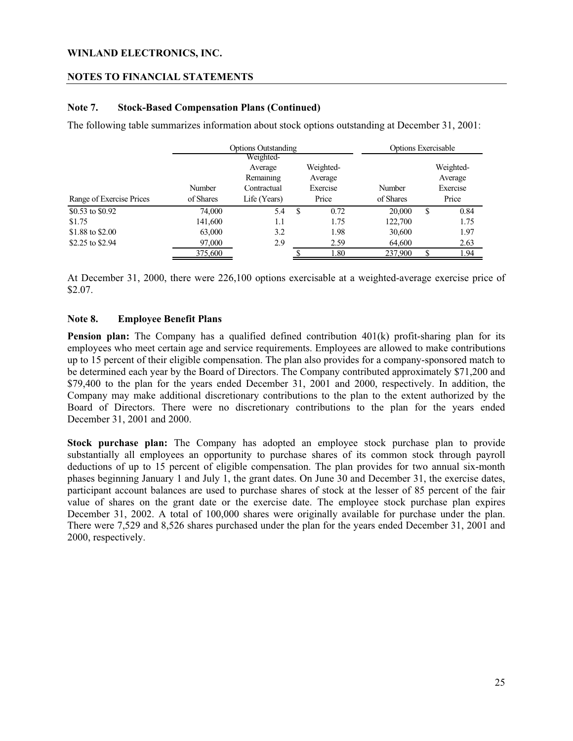#### **NOTES TO FINANCIAL STATEMENTS**

#### **Note 7. Stock-Based Compensation Plans (Continued)**

The following table summarizes information about stock options outstanding at December 31, 2001:

|                          | <b>Options Outstanding</b> |              |   | <b>Options Exercisable</b> |           |    |           |
|--------------------------|----------------------------|--------------|---|----------------------------|-----------|----|-----------|
|                          |                            | Weighted-    |   |                            |           |    |           |
|                          |                            | Average      |   | Weighted-                  |           |    | Weighted- |
|                          |                            | Remaining    |   | Average                    |           |    | Average   |
|                          | Number                     | Contractual  |   | Exercise                   | Number    |    | Exercise  |
| Range of Exercise Prices | of Shares                  | Life (Years) |   | Price                      | of Shares |    | Price     |
| \$0.53 to \$0.92         | 74,000                     | 5.4          | S | 0.72                       | 20,000    | \$ | 0.84      |
| \$1.75                   | 141,600                    | 1.1          |   | 1.75                       | 122,700   |    | 1.75      |
| \$1.88 to \$2.00         | 63,000                     | 3.2          |   | 1.98                       | 30,600    |    | 1.97      |
| \$2.25 to \$2.94         | 97,000                     | 2.9          |   | 2.59                       | 64,600    |    | 2.63      |
|                          | 375,600                    |              |   | 1.80                       | 237,900   |    | 1.94      |

At December 31, 2000, there were 226,100 options exercisable at a weighted-average exercise price of \$2.07.

#### **Note 8. Employee Benefit Plans**

**Pension plan:** The Company has a qualified defined contribution 401(k) profit-sharing plan for its employees who meet certain age and service requirements. Employees are allowed to make contributions up to 15 percent of their eligible compensation. The plan also provides for a company-sponsored match to be determined each year by the Board of Directors. The Company contributed approximately \$71,200 and \$79,400 to the plan for the years ended December 31, 2001 and 2000, respectively. In addition, the Company may make additional discretionary contributions to the plan to the extent authorized by the Board of Directors. There were no discretionary contributions to the plan for the years ended December 31, 2001 and 2000.

**Stock purchase plan:** The Company has adopted an employee stock purchase plan to provide substantially all employees an opportunity to purchase shares of its common stock through payroll deductions of up to 15 percent of eligible compensation. The plan provides for two annual six-month phases beginning January 1 and July 1, the grant dates. On June 30 and December 31, the exercise dates, participant account balances are used to purchase shares of stock at the lesser of 85 percent of the fair value of shares on the grant date or the exercise date. The employee stock purchase plan expires December 31, 2002. A total of 100,000 shares were originally available for purchase under the plan. There were 7,529 and 8,526 shares purchased under the plan for the years ended December 31, 2001 and 2000, respectively.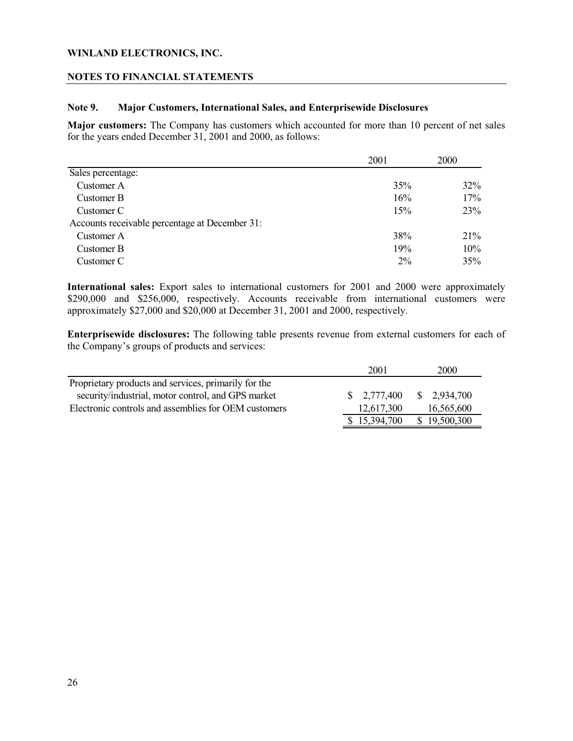#### **NOTES TO FINANCIAL STATEMENTS**

#### **Note 9. Major Customers, International Sales, and Enterprisewide Disclosures**

**Major customers:** The Company has customers which accounted for more than 10 percent of net sales for the years ended December 31, 2001 and 2000, as follows:

|                                                | 2001  | 2000   |  |
|------------------------------------------------|-------|--------|--|
| Sales percentage:                              |       |        |  |
| Customer A                                     | 35%   | 32%    |  |
| Customer B                                     | 16%   | 17%    |  |
| Customer C                                     | 15%   | 23%    |  |
| Accounts receivable percentage at December 31: |       |        |  |
| Customer A                                     | 38%   | $21\%$ |  |
| Customer B                                     | 19%   | 10%    |  |
| Customer C                                     | $2\%$ | 35%    |  |

**International sales:** Export sales to international customers for 2001 and 2000 were approximately \$290,000 and \$256,000, respectively. Accounts receivable from international customers were approximately \$27,000 and \$20,000 at December 31, 2001 and 2000, respectively.

**Enterprisewide disclosures:** The following table presents revenue from external customers for each of the Company's groups of products and services:

|                                                      | 2001                   | 2000                   |
|------------------------------------------------------|------------------------|------------------------|
| Proprietary products and services, primarily for the |                        |                        |
| security/industrial, motor control, and GPS market   | $\frac{\$}{2,777,400}$ | $\frac{\$}{2.934,700}$ |
| Electronic controls and assemblies for OEM customers | 12,617,300             | 16,565,600             |
|                                                      | \$15,394,700           | \$19,500,300           |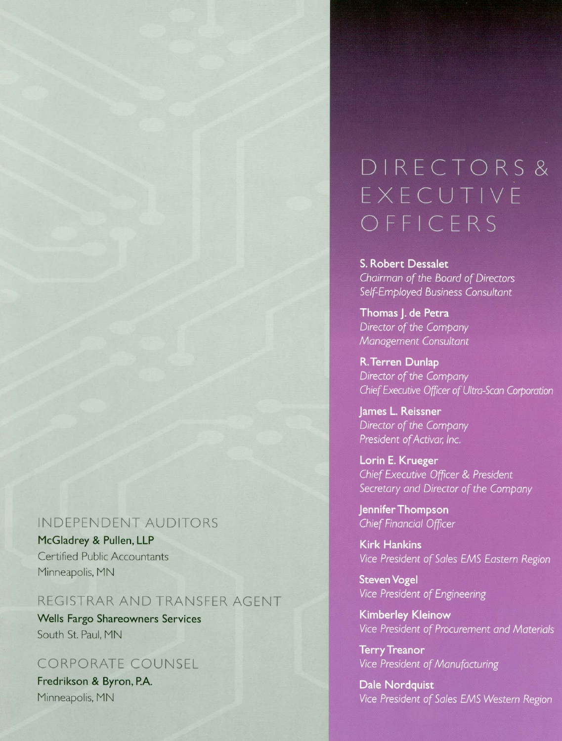## **INDEPENDENT AUDITORS**

McGladrey & Pullen, LLP Certified Public Accountants Minneapolis, MN

## REGISTRAR AND TRANSFER AGENT

**Wells Fargo Shareowners Services** South St. Paul, MN

## **CORPORATE COUNSEL**

Fredrikson & Byron, P.A. Minneapolis, MN

# DIRECTORS& EXECUTIVE OFFICERS

S. Robert Dessalet Chairman of the Board of Directors Self-Employed Business Consultant

Thomas J. de Petra Director of the Company Management Consultant

R. Terren Dunlap Director of the Company Chief Executive Officer of Ultra-Scan Corporation

James L. Reissner Director of the Company President of Activar, Inc.

Lorin E. Krueger Chief Executive Officer & President Secretary and Director of the Company

Jennifer Thompson **Chief Financial Officer** 

**Kirk Hankins** Vice President of Sales EMS Eastern Region

**Steven Vogel** Vice President of Engineering

**Kimberley Kleinow** Vice President of Procurement and Materials

**Terry Treanor** Vice President of Manufacturing

**Dale Nordquist** Vice President of Sales EMS Western Region